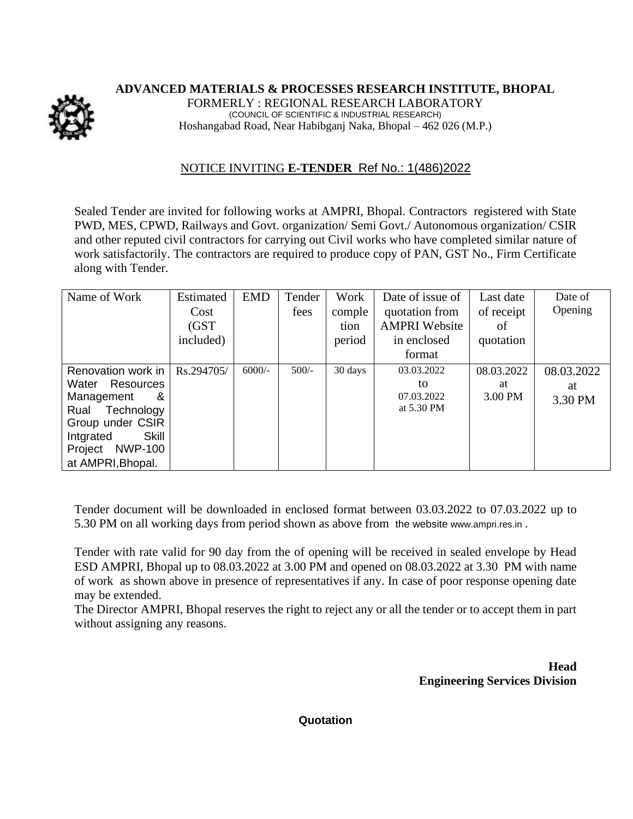**ADVANCED MATERIALS & PROCESSES RESEARCH INSTITUTE, BHOPAL**

FORMERLY : REGIONAL RESEARCH LABORATORY (COUNCIL OF SCIENTIFIC & INDUSTRIAL RESEARCH) Hoshangabad Road, Near Habibganj Naka, Bhopal – 462 026 (M.P.)

## NOTICE INVITING **E-TENDER** Ref No.: 1(486)2022

Sealed Tender are invited for following works at AMPRI, Bhopal. Contractors registered with State PWD, MES, CPWD, Railways and Govt. organization/ Semi Govt./ Autonomous organization/ CSIR and other reputed civil contractors for carrying out Civil works who have completed similar nature of work satisfactorily. The contractors are required to produce copy of PAN, GST No., Firm Certificate along with Tender.

| Name of Work              | Estimated<br>Cost | <b>EMD</b> | Tender<br>fees | Work<br>comple | Date of issue of<br>quotation from | Last date<br>of receipt | Date of<br>Opening |
|---------------------------|-------------------|------------|----------------|----------------|------------------------------------|-------------------------|--------------------|
|                           | (GST)             |            |                | tion           | <b>AMPRI Website</b>               | of                      |                    |
|                           | included)         |            |                | period         | in enclosed                        | quotation               |                    |
|                           |                   |            |                |                | format                             |                         |                    |
| Renovation work in        | Rs.294705/        | $6000/-$   | $500/-$        | 30 days        | 03.03.2022                         | 08.03.2022              | 08.03.2022         |
| Water<br><b>Resources</b> |                   |            |                |                | to                                 | at                      | at                 |
| Management<br>&           |                   |            |                |                | 07.03.2022                         | 3.00 PM                 | 3.30 PM            |
| Technology<br>Rual        |                   |            |                |                | at 5.30 PM                         |                         |                    |
| Group under CSIR          |                   |            |                |                |                                    |                         |                    |
| Skill<br>Intgrated        |                   |            |                |                |                                    |                         |                    |
| <b>NWP-100</b><br>Project |                   |            |                |                |                                    |                         |                    |
| at AMPRI, Bhopal.         |                   |            |                |                |                                    |                         |                    |

Tender document will be downloaded in enclosed format between 03.03.2022 to 07.03.2022 up to 5.30 PM on all working days from period shown as above from the website [www.ampri.res.in](http://www.rrlbpl.org/) .

Tender with rate valid for 90 day from the of opening will be received in sealed envelope by Head ESD AMPRI, Bhopal up to 08.03.2022 at 3.00 PM and opened on 08.03.2022 at 3.30 PM with name of work as shown above in presence of representatives if any. In case of poor response opening date may be extended.

The Director AMPRI, Bhopal reserves the right to reject any or all the tender or to accept them in part without assigning any reasons.

> **Head Engineering Services Division**

**Quotation**